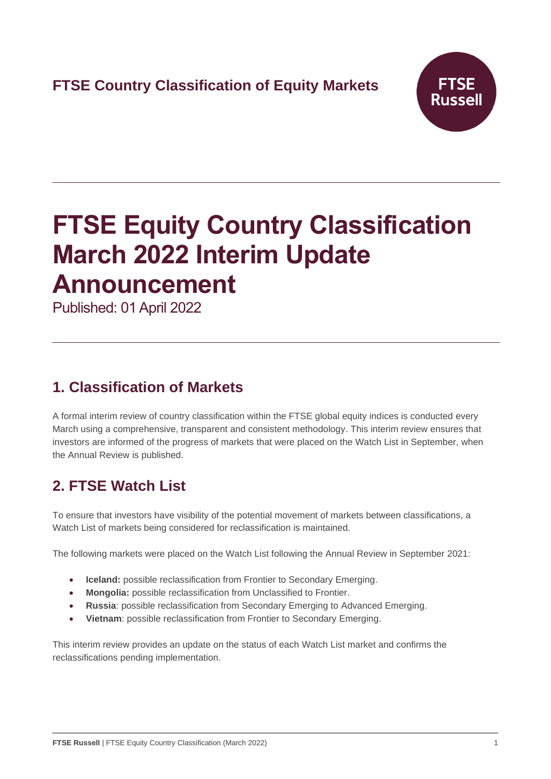

# **FTSE Equity Country Classification March 2022 Interim Update Announcement**

Published: 01 April 2022

## **1. Classification of Markets**

A formal interim review of country classification within the FTSE global equity indices is conducted every March using a comprehensive, transparent and consistent methodology. This interim review ensures that investors are informed of the progress of markets that were placed on the Watch List in September, when the Annual Review is published.

# **2. FTSE Watch List**

To ensure that investors have visibility of the potential movement of markets between classifications, a Watch List of markets being considered for reclassification is maintained.

The following markets were placed on the Watch List following the Annual Review in September 2021:

- **Iceland:** possible reclassification from Frontier to Secondary Emerging.
- **Mongolia:** possible reclassification from Unclassified to Frontier.
- **Russia**: possible reclassification from Secondary Emerging to Advanced Emerging.
- **Vietnam**: possible reclassification from Frontier to Secondary Emerging.

This interim review provides an update on the status of each Watch List market and confirms the reclassifications pending implementation.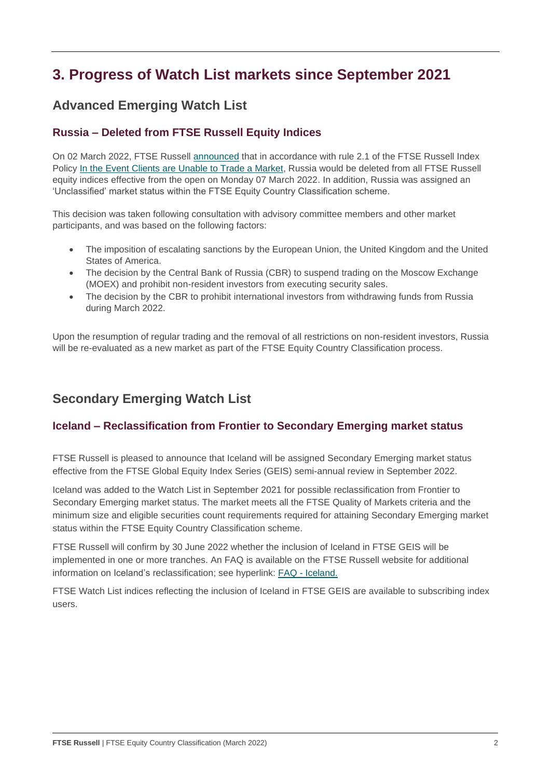# **3. Progress of Watch List markets since September 2021**

### **Advanced Emerging Watch List**

#### **Russia – Deleted from FTSE Russell Equity Indices**

On 02 March 2022, FTSE Russell [announced](https://research.ftserussell.com/products/index-notices/home/getnotice/?id=2603553) that in accordance with rule 2.1 of the FTSE Russell Index Policy [In the Event Clients are Unable to Trade a Market,](https://research.ftserussell.com/products/downloads/FTSE_Russell_Index_Policy_in_the_Event_Clients_are_Unable_to_Trade_a_Market.pdf) Russia would be deleted from all FTSE Russell equity indices effective from the open on Monday 07 March 2022. In addition, Russia was assigned an 'Unclassified' market status within the FTSE Equity Country Classification scheme.

This decision was taken following consultation with advisory committee members and other market participants, and was based on the following factors:

- The imposition of escalating sanctions by the European Union, the United Kingdom and the United States of America.
- The decision by the Central Bank of Russia (CBR) to suspend trading on the Moscow Exchange (MOEX) and prohibit non-resident investors from executing security sales.
- The decision by the CBR to prohibit international investors from withdrawing funds from Russia during March 2022.

Upon the resumption of regular trading and the removal of all restrictions on non-resident investors, Russia will be re-evaluated as a new market as part of the FTSE Equity Country Classification process.

### **Secondary Emerging Watch List**

#### **Iceland – Reclassification from Frontier to Secondary Emerging market status**

FTSE Russell is pleased to announce that Iceland will be assigned Secondary Emerging market status effective from the FTSE Global Equity Index Series (GEIS) semi-annual review in September 2022.

Iceland was added to the Watch List in September 2021 for possible reclassification from Frontier to Secondary Emerging market status. The market meets all the FTSE Quality of Markets criteria and the minimum size and eligible securities count requirements required for attaining Secondary Emerging market status within the FTSE Equity Country Classification scheme.

FTSE Russell will confirm by 30 June 2022 whether the inclusion of Iceland in FTSE GEIS will be implemented in one or more tranches. An FAQ is available on the FTSE Russell website for additional information on Iceland's reclassification; see hyperlink: FAQ - [Iceland.](https://research.ftserussell.com/products/downloads/FTSE_FAQ_Document_Iceland.pdf)

FTSE Watch List indices reflecting the inclusion of Iceland in FTSE GEIS are available to subscribing index users.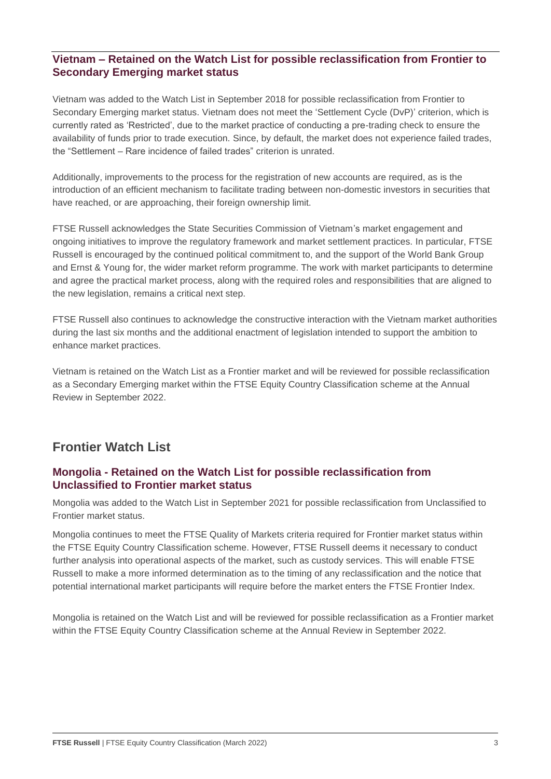#### **Vietnam – Retained on the Watch List for possible reclassification from Frontier to Secondary Emerging market status**

Vietnam was added to the Watch List in September 2018 for possible reclassification from Frontier to Secondary Emerging market status. Vietnam does not meet the 'Settlement Cycle (DvP)' criterion, which is currently rated as 'Restricted', due to the market practice of conducting a pre-trading check to ensure the availability of funds prior to trade execution. Since, by default, the market does not experience failed trades, the "Settlement – Rare incidence of failed trades" criterion is unrated.

Additionally, improvements to the process for the registration of new accounts are required, as is the introduction of an efficient mechanism to facilitate trading between non-domestic investors in securities that have reached, or are approaching, their foreign ownership limit.

FTSE Russell acknowledges the State Securities Commission of Vietnam's market engagement and ongoing initiatives to improve the regulatory framework and market settlement practices. In particular, FTSE Russell is encouraged by the continued political commitment to, and the support of the World Bank Group and Ernst & Young for, the wider market reform programme. The work with market participants to determine and agree the practical market process, along with the required roles and responsibilities that are aligned to the new legislation, remains a critical next step.

FTSE Russell also continues to acknowledge the constructive interaction with the Vietnam market authorities during the last six months and the additional enactment of legislation intended to support the ambition to enhance market practices.

Vietnam is retained on the Watch List as a Frontier market and will be reviewed for possible reclassification as a Secondary Emerging market within the FTSE Equity Country Classification scheme at the Annual Review in September 2022.

### **Frontier Watch List**

#### **Mongolia - Retained on the Watch List for possible reclassification from Unclassified to Frontier market status**

Mongolia was added to the Watch List in September 2021 for possible reclassification from Unclassified to Frontier market status.

Mongolia continues to meet the FTSE Quality of Markets criteria required for Frontier market status within the FTSE Equity Country Classification scheme. However, FTSE Russell deems it necessary to conduct further analysis into operational aspects of the market, such as custody services. This will enable FTSE Russell to make a more informed determination as to the timing of any reclassification and the notice that potential international market participants will require before the market enters the FTSE Frontier Index.

Mongolia is retained on the Watch List and will be reviewed for possible reclassification as a Frontier market within the FTSE Equity Country Classification scheme at the Annual Review in September 2022.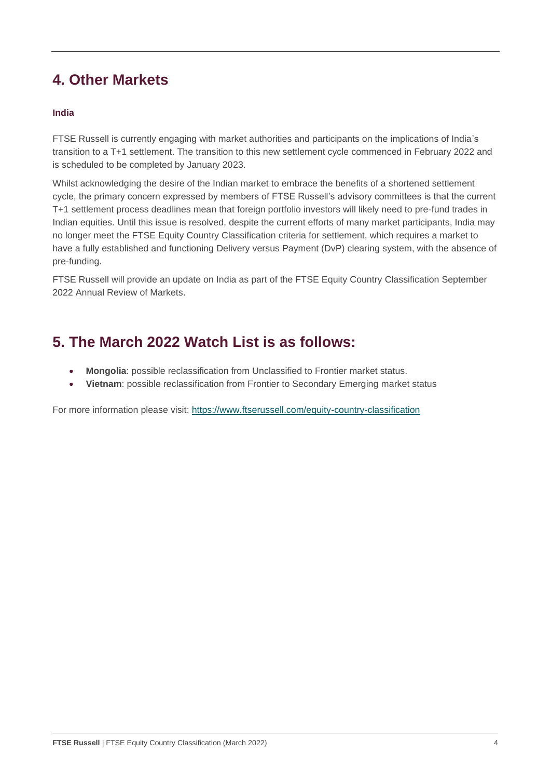# **4. Other Markets**

#### **India**

FTSE Russell is currently engaging with market authorities and participants on the implications of India's transition to a T+1 settlement. The transition to this new settlement cycle commenced in February 2022 and is scheduled to be completed by January 2023.

Whilst acknowledging the desire of the Indian market to embrace the benefits of a shortened settlement cycle, the primary concern expressed by members of FTSE Russell's advisory committees is that the current T+1 settlement process deadlines mean that foreign portfolio investors will likely need to pre-fund trades in Indian equities. Until this issue is resolved, despite the current efforts of many market participants, India may no longer meet the FTSE Equity Country Classification criteria for settlement, which requires a market to have a fully established and functioning Delivery versus Payment (DvP) clearing system, with the absence of pre-funding.

FTSE Russell will provide an update on India as part of the FTSE Equity Country Classification September 2022 Annual Review of Markets.

### **5. The March 2022 Watch List is as follows:**

- **Mongolia**: possible reclassification from Unclassified to Frontier market status.
- **Vietnam**: possible reclassification from Frontier to Secondary Emerging market status

For more information please visit: <https://www.ftserussell.com/equity-country-classification>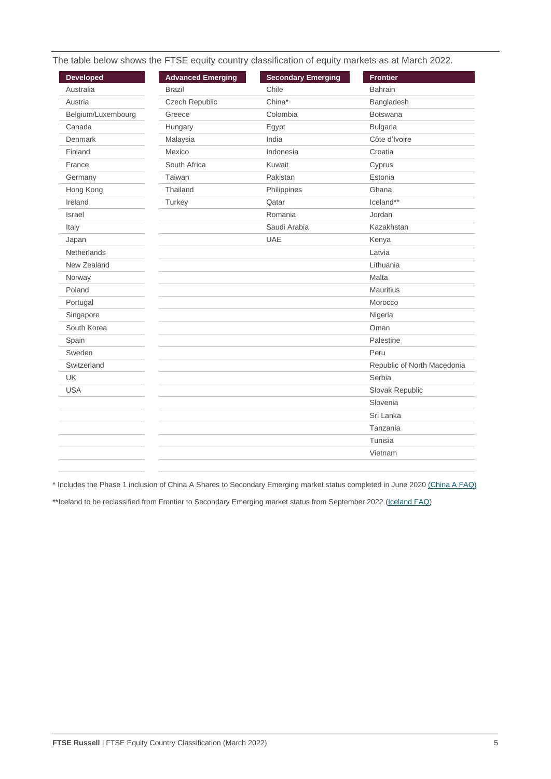|  | The table below shows the FTSE equity country classification of equity markets as at March 2022. |
|--|--------------------------------------------------------------------------------------------------|
|  |                                                                                                  |

| <b>Developed</b>   | <b>Advanced Emerging</b> | <b>Secondary Emerging</b> | <b>Frontier</b>             |
|--------------------|--------------------------|---------------------------|-----------------------------|
| Australia          | <b>Brazil</b>            | Chile                     | <b>Bahrain</b>              |
| Austria            | Czech Republic           | China*                    | Bangladesh                  |
| Belgium/Luxembourg | Greece                   | Colombia                  | <b>Botswana</b>             |
| Canada             | Hungary                  | Egypt                     | <b>Bulgaria</b>             |
| Denmark            | Malaysia                 | India                     | Côte d'Ivoire               |
| Finland            | Mexico                   | Indonesia                 | Croatia                     |
| France             | South Africa             | Kuwait                    | Cyprus                      |
| Germany            | Taiwan                   | Pakistan                  | Estonia                     |
| Hong Kong          | Thailand                 | Philippines               | Ghana                       |
| Ireland            | Turkey                   | Qatar                     | Iceland**                   |
| Israel             |                          | Romania                   | Jordan                      |
| Italy              |                          | Saudi Arabia              | Kazakhstan                  |
| Japan              |                          | <b>UAE</b>                | Kenya                       |
| Netherlands        |                          |                           | Latvia                      |
| New Zealand        |                          |                           | Lithuania                   |
| Norway             |                          |                           | Malta                       |
| Poland             |                          |                           | Mauritius                   |
| Portugal           |                          |                           | Morocco                     |
| Singapore          |                          |                           | Nigeria                     |
| South Korea        |                          |                           | Oman                        |
| Spain              |                          |                           | Palestine                   |
| Sweden             |                          |                           | Peru                        |
| Switzerland        |                          |                           | Republic of North Macedonia |
| <b>UK</b>          |                          |                           | Serbia                      |
| <b>USA</b>         |                          |                           | Slovak Republic             |
|                    |                          |                           | Slovenia                    |
|                    |                          |                           | Sri Lanka                   |
|                    |                          |                           | Tanzania                    |
|                    |                          |                           | Tunisia                     |
|                    |                          |                           | Vietnam                     |

\* Includes the Phase 1 inclusion of China A Shares to Secondary Emerging market status completed in June 2020 [\(China A FAQ\)](https://research.ftserussell.com/products/downloads/FTSE_FAQ_Document_China_A.pdf)

\*\*Iceland to be reclassified from Frontier to Secondary Emerging market status from September 2022 [\(Iceland FAQ\)](https://research.ftserussell.com/products/downloads/FTSE_FAQ_Document_Iceland.pdf)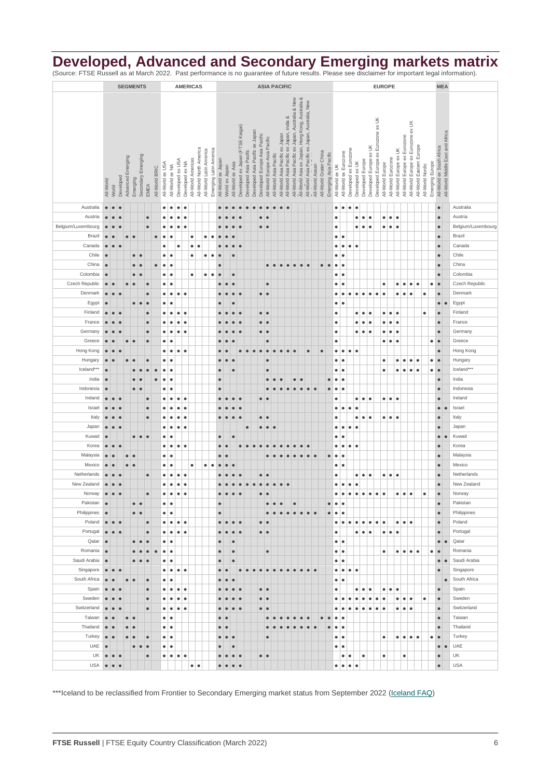### **Developed, Advanced and Secondary Emerging markets matrix**

(Source: FTSE Russell as at March 2022. Past performance is no guarantee of future results. Please see disclaimer for important legal information).

|                    |                         |           |            |                         |                  | <b>SEGMENTS</b>            |                |                  |                            |                  |                 | <b>AMERICAS</b>                               |                         |                        | <b>ASIA PACIFIC</b> |                |                                       |                                  |  |                                                                  |                               |                        | <b>EUROPE</b>                   |                                          |                                                                                                     |                                                 |                 |                        |                       |                 |                         |                                          |                  |                        |                                    | <b>MEA</b>                       |                                              |                              |                                    |                          |                  |                 |                           |                                  |                    |
|--------------------|-------------------------|-----------|------------|-------------------------|------------------|----------------------------|----------------|------------------|----------------------------|------------------|-----------------|-----------------------------------------------|-------------------------|------------------------|---------------------|----------------|---------------------------------------|----------------------------------|--|------------------------------------------------------------------|-------------------------------|------------------------|---------------------------------|------------------------------------------|-----------------------------------------------------------------------------------------------------|-------------------------------------------------|-----------------|------------------------|-----------------------|-----------------|-------------------------|------------------------------------------|------------------|------------------------|------------------------------------|----------------------------------|----------------------------------------------|------------------------------|------------------------------------|--------------------------|------------------|-----------------|---------------------------|----------------------------------|--------------------|
|                    |                         |           |            |                         |                  |                            |                |                  |                            |                  |                 |                                               |                         |                        |                     |                |                                       |                                  |  |                                                                  |                               |                        |                                 |                                          |                                                                                                     |                                                 |                 |                        |                       |                 |                         |                                          |                  |                        |                                    |                                  |                                              |                              |                                    |                          |                  |                 |                           |                                  |                    |
|                    |                         |           |            |                         |                  |                            |                |                  |                            |                  |                 |                                               |                         |                        |                     |                |                                       |                                  |  |                                                                  |                               |                        |                                 |                                          | All-World Asia ex Japan, Hong Kong, Australia &<br>All-World Asia Pacific ex Japan, Australia & New |                                                 |                 |                        |                       |                 |                         |                                          |                  |                        |                                    |                                  |                                              |                              |                                    |                          |                  |                 |                           |                                  |                    |
|                    |                         |           |            |                         |                  |                            |                |                  |                            |                  |                 |                                               |                         |                        |                     |                |                                       |                                  |  |                                                                  |                               |                        |                                 |                                          |                                                                                                     |                                                 |                 |                        |                       |                 |                         |                                          |                  |                        |                                    |                                  |                                              |                              |                                    |                          |                  |                 |                           |                                  |                    |
|                    |                         |           |            |                         |                  |                            |                |                  |                            |                  |                 |                                               |                         |                        |                     |                |                                       |                                  |  |                                                                  |                               |                        |                                 | All-World Asia Pacific ex Japan, India & |                                                                                                     | All-World Asia Pacific ex Japan, Australia, New |                 |                        |                       |                 |                         |                                          |                  |                        |                                    |                                  |                                              |                              |                                    |                          |                  |                 |                           |                                  |                    |
|                    |                         |           |            |                         |                  |                            |                |                  |                            |                  |                 |                                               |                         |                        |                     |                |                                       |                                  |  |                                                                  |                               |                        |                                 |                                          |                                                                                                     |                                                 |                 |                        |                       |                 |                         |                                          |                  |                        |                                    |                                  |                                              |                              |                                    |                          |                  |                 |                           |                                  |                    |
|                    |                         |           |            |                         |                  |                            |                |                  |                            |                  |                 |                                               |                         |                        |                     |                |                                       | Developed ex Japan (FTSE Kaigai) |  | Developed Asia Pacific ex Japan<br>Developed Europe Asia Pacific |                               |                        | All-World Asia Pacific ex Japan |                                          |                                                                                                     |                                                 |                 |                        |                       |                 |                         |                                          |                  |                        | Developed Europe ex Eurozone ex UK |                                  |                                              |                              | All-World Europe ex Eurozone ex UK |                          |                  |                 |                           | All-World Middle East and Africa |                    |
|                    |                         |           |            |                         |                  |                            |                |                  |                            |                  |                 |                                               |                         |                        |                     |                |                                       |                                  |  |                                                                  | All-World Europe-Asia Pacific |                        |                                 |                                          |                                                                                                     |                                                 |                 |                        |                       |                 |                         |                                          |                  |                        |                                    |                                  |                                              | All-World Europe ex Eurozone |                                    |                          |                  |                 |                           |                                  |                    |
|                    |                         |           |            |                         |                  |                            |                |                  |                            |                  |                 |                                               |                         |                        |                     |                |                                       |                                  |  |                                                                  |                               |                        |                                 |                                          |                                                                                                     |                                                 |                 |                        |                       |                 |                         |                                          |                  |                        |                                    |                                  |                                              |                              |                                    |                          |                  |                 |                           |                                  |                    |
|                    |                         |           |            |                         |                  |                            |                |                  |                            |                  |                 |                                               |                         |                        |                     |                |                                       |                                  |  |                                                                  |                               |                        |                                 |                                          |                                                                                                     |                                                 |                 |                        |                       |                 |                         |                                          |                  |                        |                                    |                                  |                                              |                              |                                    |                          |                  |                 |                           |                                  |                    |
|                    |                         |           |            |                         |                  |                            |                |                  |                            |                  |                 |                                               |                         |                        |                     |                |                                       |                                  |  |                                                                  |                               |                        |                                 |                                          |                                                                                                     |                                                 |                 |                        |                       |                 |                         |                                          |                  |                        |                                    |                                  |                                              |                              |                                    |                          |                  |                 |                           |                                  |                    |
|                    |                         |           |            |                         |                  |                            |                |                  |                            |                  |                 |                                               |                         |                        |                     |                |                                       |                                  |  |                                                                  |                               |                        |                                 |                                          |                                                                                                     |                                                 |                 |                        |                       |                 |                         |                                          |                  |                        |                                    |                                  |                                              |                              |                                    |                          |                  |                 |                           |                                  |                    |
|                    | All-World               | World     | Developed  | Advanced Emerging       | Emerging         | Secondary Emerging<br>EMEA | All-World BRIC | All-World ex USA | All-World ex NA            | Developed ex USA | Developed ex NA | All-World North America<br>All-World Americas | All-World Latin America | Emerging Latin America | All-World ex Japan  | World ex Japan | All-World ex Asia                     | Developed Asia Pacific           |  |                                                                  |                               | All-World Asia Pacific |                                 |                                          |                                                                                                     |                                                 | All-World Asean | All-World Grater China | Emerging Asia Pacific | All-World ex UK | All-World ex Eurozone   | Developed ex Eurozone<br>Developed ex UK | Developed Europe | Developed Europe ex UK |                                    | All-World Europe                 | All-World Europe ex UK<br>All-World Eurozone |                              |                                    | All-World Eastern Europe | All-World Nordic | Emerging Europe | All-World ex South Africa |                                  |                    |
|                    |                         |           |            |                         |                  |                            |                |                  |                            |                  |                 |                                               |                         |                        |                     |                |                                       |                                  |  |                                                                  |                               |                        |                                 |                                          |                                                                                                     |                                                 |                 |                        |                       |                 |                         |                                          |                  |                        |                                    |                                  |                                              |                              |                                    |                          |                  |                 |                           |                                  |                    |
| Australia          | $\bullet$               | $\bullet$ | $\epsilon$ |                         |                  |                            |                | $\bullet$        | $\bullet$                  | $\bullet$        | $\bullet$       |                                               |                         |                        |                     |                |                                       |                                  |  |                                                                  |                               |                        | $\bullet$                       |                                          |                                                                                                     |                                                 |                 |                        |                       | $\bullet$       | $\bullet$               | $\bullet$<br>$\bullet$                   |                  |                        |                                    |                                  |                                              |                              |                                    |                          |                  |                 | $\bullet$                 |                                  | Australia          |
|                    |                         |           |            |                         |                  |                            |                |                  |                            |                  |                 |                                               |                         |                        |                     |                |                                       |                                  |  |                                                                  |                               |                        |                                 |                                          |                                                                                                     |                                                 |                 |                        |                       |                 |                         |                                          |                  |                        |                                    |                                  |                                              |                              |                                    |                          |                  |                 |                           |                                  |                    |
| Austria            | $\bullet$               | $\bullet$ |            |                         |                  | $\bullet$                  |                | $\bullet$        | $\bullet$                  | $\bullet$        | $\bullet$       |                                               |                         |                        |                     |                |                                       |                                  |  | $\bullet$                                                        | $\epsilon$                    |                        |                                 |                                          |                                                                                                     |                                                 |                 |                        |                       | $\bullet$       |                         | $\bullet$                                | ٠                | $\bullet$              |                                    | $\bullet$                        | $\bullet$<br>$\bullet$                       |                              |                                    |                          |                  |                 | $\bullet$                 |                                  | Austria            |
| Belgium/Luxembourg | $\bullet$               | $\bullet$ |            |                         |                  | $\bullet$                  |                | $\bullet$        | $\bullet$                  | $\bullet$        | $\bullet$       |                                               |                         |                        |                     |                |                                       |                                  |  |                                                                  | $\bullet$ $\bullet$           |                        |                                 |                                          |                                                                                                     |                                                 |                 |                        |                       | $\bullet$       |                         | $\bullet$                                | $\bullet$        | $\bullet$              |                                    |                                  | $\bullet\bullet\bullet$                      |                              |                                    |                          |                  |                 | $\bullet$                 |                                  | Belgium/Luxembourg |
| Brazil             | $\bullet$               |           |            | $\bullet$               | $\bullet$        |                            | $\bullet$      | $\bullet$        | $\bullet$                  |                  |                 | ٠                                             | ٠                       | $\bullet$              | $\bullet$           |                |                                       |                                  |  |                                                                  |                               |                        |                                 |                                          |                                                                                                     |                                                 |                 |                        |                       | $\bullet$       | ٠                       |                                          |                  |                        |                                    |                                  |                                              |                              |                                    |                          |                  |                 | $\bullet$                 |                                  | Brazil             |
| Canada             | $\bullet$               | $\bullet$ |            |                         |                  |                            |                | $\bullet$        |                            | $\bullet$        |                 | $\bullet$                                     |                         |                        |                     |                | $\epsilon$                            |                                  |  |                                                                  |                               |                        |                                 |                                          |                                                                                                     |                                                 |                 |                        |                       | $\bullet$       | $\bullet$               | $\bullet$<br>$\bullet$                   |                  |                        |                                    |                                  |                                              |                              |                                    |                          |                  |                 | $\bullet$                 |                                  | Canada             |
| Chile              | $\bullet$               |           |            |                         | $\bullet$        | $\epsilon$                 |                | $\bullet$        | ٠                          |                  |                 | $\bullet$                                     | $\bullet$               | $\bullet$              |                     |                | $\bullet$                             |                                  |  |                                                                  |                               |                        |                                 |                                          |                                                                                                     |                                                 |                 |                        |                       | $\bullet$       | ٠                       |                                          |                  |                        |                                    |                                  |                                              |                              |                                    |                          |                  |                 | $\bullet$                 |                                  | Chile              |
| China              | $\bullet$               |           |            |                         | $\bullet$        | $\bullet$                  | $\bullet$      | $\bullet$        | $\bullet$                  |                  |                 |                                               |                         |                        | $\bullet$           |                |                                       |                                  |  |                                                                  | $\bullet$                     | $\bullet$              | $\bullet$                       | $\bullet$                                | $\bullet$                                                                                           | $\bullet$<br>$\bullet$                          |                 | $\bullet$              | $\bullet$             | $\bullet$       | $\bullet$               |                                          |                  |                        |                                    |                                  |                                              |                              |                                    |                          |                  |                 | $\bullet$                 |                                  | China              |
| Colombia           | $\bullet$               |           |            |                         | $\bullet$        | ٠                          |                | $\bullet$        | $\bullet$                  |                  |                 | $\bullet$                                     | ٠                       | $\bullet$              | $\bullet$           |                | $\bullet$                             |                                  |  |                                                                  |                               |                        |                                 |                                          |                                                                                                     |                                                 |                 |                        |                       | ٠               | $\bullet$               |                                          |                  |                        |                                    |                                  |                                              |                              |                                    |                          |                  |                 | $\bullet$                 |                                  | Colombia           |
|                    |                         |           |            |                         |                  |                            |                |                  |                            |                  |                 |                                               |                         |                        |                     |                |                                       |                                  |  |                                                                  |                               |                        |                                 |                                          |                                                                                                     |                                                 |                 |                        |                       |                 |                         |                                          |                  |                        |                                    |                                  |                                              |                              |                                    |                          |                  |                 |                           |                                  |                    |
| Czech Republic     | $\bullet$               | $\bullet$ |            | $\bullet$               |                  | $\bullet$                  |                | $\bullet$        | $\bullet$                  |                  |                 |                                               |                         |                        | $\bullet$           | $\bullet$      | ٠                                     |                                  |  |                                                                  | $\bullet$                     |                        |                                 |                                          |                                                                                                     |                                                 |                 |                        |                       | ٠               | $\bullet$               |                                          |                  |                        |                                    | $\bullet$                        | $\bullet$                                    | $\bullet$                    | $\bullet$                          | $\bullet$                |                  | ٠               | $\bullet$                 |                                  | Czech Republic     |
| Denmark            | $\bullet$               | $\bullet$ | $\bullet$  |                         |                  | $\bullet$                  |                | $\bullet$        | $\bullet$                  | $\bullet$        | $\bullet$       |                                               |                         |                        | $\bullet$           | $\bullet$      | $\bullet$<br>$\bullet$                |                                  |  |                                                                  | $\bullet\bullet$              |                        |                                 |                                          |                                                                                                     |                                                 |                 |                        |                       | $\bullet$       | ٠                       | $\bullet$<br>$\bullet$                   | $\bullet$        | $\bullet$              | $\bullet$                          | $\bullet$                        | $\bullet$                                    | $\bullet$                    | $\bullet$                          |                          | $\bullet$        |                 | $\bullet$                 |                                  | Denmark            |
| Egypt              | $\bullet$               |           |            |                         | $\bullet$        | $\bullet$<br>$\bullet$     |                | ٠                | $\bullet$                  |                  |                 |                                               |                         |                        | $\bullet$           |                | $\bullet$                             |                                  |  |                                                                  |                               |                        |                                 |                                          |                                                                                                     |                                                 |                 |                        |                       | $\bullet$       | ٠                       |                                          |                  |                        |                                    |                                  |                                              |                              |                                    |                          |                  |                 | $\bullet$                 | $\bullet$                        | Egypt              |
| Finland            | $\bullet$               | $\bullet$ | $\epsilon$ |                         |                  | $\bullet$                  |                | $\bullet$        | $\bullet$                  | $\bullet$        | $\bullet$       |                                               |                         |                        | $\epsilon$          |                | $\bullet$                             |                                  |  |                                                                  | $\bullet$<br>$\bullet$        |                        |                                 |                                          |                                                                                                     |                                                 |                 |                        |                       | $\bullet$       |                         | $\bullet$                                | $\bullet$        | $\bullet$              |                                    | $\bullet$                        | $\bullet$<br>$\bullet$                       |                              |                                    |                          | $\bullet$        |                 | $\bullet$                 |                                  | Finland            |
| France             | $\bullet$               |           |            |                         |                  | $\bullet$                  |                | $\bullet$        | $\bullet$                  | $\bullet$        | $\bullet$       |                                               |                         |                        |                     |                |                                       |                                  |  | $\bullet$                                                        | $\bullet$                     |                        |                                 |                                          |                                                                                                     |                                                 |                 |                        |                       | $\bullet$       |                         | $\bullet$                                | $\bullet$        | $\bullet$              |                                    | $\bullet$                        | $\bullet$<br>$\bullet$                       |                              |                                    |                          |                  |                 | $\bullet$                 |                                  | France             |
| Germany            | $\bullet$               | $\bullet$ |            |                         |                  | $\bullet$                  |                | $\bullet$        | $\bullet$                  | $\bullet$        | $\bullet$       |                                               |                         |                        |                     |                |                                       |                                  |  | $\bullet$                                                        | $\bullet$                     |                        |                                 |                                          |                                                                                                     |                                                 |                 |                        |                       | $\bullet$       |                         | $\bullet$                                | $\bullet$        | $\bullet$              |                                    | $\bullet$                        | $\bullet$<br>$\bullet$                       |                              |                                    |                          |                  |                 | $\bullet$                 |                                  | Germany            |
| Greece             | $\bullet$               |           |            | $\bullet$               | $\epsilon$       | $\bullet$                  |                | $\bullet$        | $\bullet$                  |                  |                 |                                               |                         |                        |                     |                |                                       |                                  |  |                                                                  | $\bullet$                     |                        |                                 |                                          |                                                                                                     |                                                 |                 |                        |                       | $\bullet$       |                         |                                          |                  |                        |                                    | $\bullet$                        | $\bullet$<br>$\bullet$                       |                              |                                    |                          |                  | $\bullet$       | $\bullet$                 |                                  | Greece             |
|                    |                         |           |            |                         |                  |                            |                |                  |                            |                  |                 |                                               |                         |                        |                     |                |                                       |                                  |  |                                                                  |                               |                        |                                 |                                          |                                                                                                     |                                                 |                 |                        |                       |                 |                         |                                          |                  |                        |                                    |                                  |                                              |                              |                                    |                          |                  |                 |                           |                                  |                    |
| Hong Kong          | $\bullet$               | $\bullet$ |            |                         |                  |                            |                | $\bullet$        | $\bullet$                  | $\bullet$        | $\bullet$       |                                               |                         |                        | $\bullet$           |                |                                       | $\bullet$<br>$\bullet$           |  | $\bullet$<br>$\bullet$                                           | $\bullet$                     | $\bullet$              | $\bullet$                       | $\bullet$                                | $\bullet$                                                                                           |                                                 | $\bullet$       | $\bullet$              |                       | ٠               | $\bullet$               | $\bullet$<br>$\bullet$                   |                  |                        |                                    |                                  |                                              |                              |                                    |                          |                  |                 | $\bullet$                 |                                  | Hong Kong          |
| Hungary            | $\bullet$               | $\bullet$ |            | $\bullet$               |                  | $\bullet$                  |                | $\bullet$        | $\bullet$                  |                  |                 |                                               |                         |                        | $\bullet$           | $\bullet$      | $\bullet$                             |                                  |  |                                                                  | $\bullet$                     |                        |                                 |                                          |                                                                                                     |                                                 |                 |                        |                       | ٠               | $\bullet$               |                                          |                  |                        |                                    | $\bullet$                        | $\bullet$                                    | ٠                            | $\bullet$                          | $\bullet$                |                  | $\bullet$       | $\bullet$                 |                                  | Hungary            |
| Iceland***         | $\bullet$               |           |            |                         | $\bullet$        | $\bullet$                  | $\bullet$      | $\bullet$        | $\bullet$                  |                  |                 |                                               |                         |                        | $\bullet$           |                | $\bullet$                             |                                  |  |                                                                  | $\bullet$                     |                        |                                 |                                          |                                                                                                     |                                                 |                 |                        |                       | ٠               | $\bullet$               |                                          |                  |                        |                                    | $\bullet$                        | $\bullet$                                    | $\bullet$                    | $\bullet$                          | $\bullet$                |                  | $\bullet$       | $\bullet$                 |                                  | Iceland***         |
| India              | $\bullet$               |           |            |                         | $\bullet$        | $\bullet$                  | $\bullet$      | $\bullet$        | $\bullet$                  |                  |                 |                                               |                         |                        | $\bullet$           |                |                                       |                                  |  |                                                                  | $\bullet$                     | $\bullet$              | ¢                               |                                          | $\bullet$<br>$\bullet$                                                                              |                                                 |                 |                        | $\bullet$             | $\bullet$       | $\bullet$               |                                          |                  |                        |                                    |                                  |                                              |                              |                                    |                          |                  |                 | $\bullet$                 |                                  | India              |
| Indonesia          | $\bullet$               |           |            |                         | $\bullet$        |                            |                | $\bullet$        | $\bullet$                  |                  |                 |                                               |                         |                        | $\bullet$           |                |                                       |                                  |  |                                                                  | $\bullet$                     |                        |                                 |                                          |                                                                                                     |                                                 |                 |                        | $\bullet$             | $\bullet$       | $\bullet$               |                                          |                  |                        |                                    |                                  |                                              |                              |                                    |                          |                  |                 | $\bullet$                 |                                  | Indonesia          |
| Ireland            | $\bullet$               | $\bullet$ |            |                         |                  | $\bullet$                  |                | $\bullet$        | $\bullet$                  | $\bullet$        | $\bullet$       |                                               |                         |                        |                     |                |                                       |                                  |  | $\bullet$                                                        |                               |                        |                                 |                                          |                                                                                                     |                                                 |                 |                        |                       | $\bullet$       |                         | $\bullet$                                | $\bullet$        | $\bullet$              |                                    | $\bullet\bullet$                 | $\bullet$                                    |                              |                                    |                          |                  |                 | $\bullet$                 |                                  | Ireland            |
| Israel             | $\bullet$               | $\bullet$ | ¢          |                         |                  | $\bullet$                  |                | $\bullet$        | $\bullet$                  | $\bullet$        | $\bullet$       |                                               |                         |                        |                     |                |                                       |                                  |  |                                                                  |                               |                        |                                 |                                          |                                                                                                     |                                                 |                 |                        |                       | $\bullet$       | $\bullet$               | $\bullet$<br>$\bullet$                   |                  |                        |                                    |                                  |                                              |                              |                                    |                          |                  |                 | $\bullet$                 |                                  | Israel             |
| Italy              |                         | $\bullet$ | C          |                         |                  | $\bullet$                  |                |                  |                            |                  |                 |                                               |                         |                        |                     |                |                                       |                                  |  |                                                                  | $\epsilon$                    |                        |                                 |                                          |                                                                                                     |                                                 |                 |                        |                       |                 |                         |                                          |                  |                        |                                    |                                  |                                              |                              |                                    |                          |                  |                 |                           |                                  | Italy              |
|                    | $\bullet$               |           |            |                         |                  |                            |                | $\bullet$        | $\bullet$                  | $\bullet$        | $\bullet$       |                                               |                         |                        | $\bullet$           |                |                                       |                                  |  | $\bullet$                                                        |                               |                        |                                 |                                          |                                                                                                     |                                                 |                 |                        |                       | $\bullet$       |                         | $\bullet$                                | $\bullet$        | $\bullet$              |                                    | $\bullet\,\vert\,\bullet\,\vert$ | $\bullet$                                    |                              |                                    |                          |                  |                 | $\bullet$                 |                                  |                    |
| Japan              | $\bullet$               | $\bullet$ | $\bullet$  |                         |                  |                            |                | $\bullet$        | $\bullet$                  | $\bullet$        | $\bullet$       |                                               |                         |                        |                     |                |                                       | $\bullet$                        |  | $\bullet$                                                        | $\bullet$                     | $\bullet$              |                                 |                                          |                                                                                                     |                                                 |                 |                        |                       | $\bullet$       | $\bullet$               | $\bullet$<br>$\bullet$                   |                  |                        |                                    |                                  |                                              |                              |                                    |                          |                  |                 | $\bullet$                 |                                  | Japan              |
| Kuwait             | $\bullet$               |           |            |                         | $\bullet$        | $\bullet\bullet$           |                | ٠                | $\bullet$                  |                  |                 |                                               |                         |                        | $\bullet$           |                | $\bullet$                             |                                  |  |                                                                  |                               |                        |                                 |                                          |                                                                                                     |                                                 |                 |                        |                       | $\bullet$       | ٠                       |                                          |                  |                        |                                    |                                  |                                              |                              |                                    |                          |                  |                 | $\bullet$                 | $\bullet$                        | Kuwait             |
| Korea              | $\bullet$               | $\bullet$ | $\bullet$  |                         |                  |                            |                |                  | $\bullet$<br>$\bullet$     | $\bullet$        | $\bullet$       |                                               |                         |                        | $\bullet$           | $\bullet$      |                                       | $\bullet$<br>$\bullet$           |  | $\bullet$                                                        |                               |                        |                                 |                                          |                                                                                                     |                                                 |                 |                        |                       | $\bullet$       | $\bullet$               | $\bullet$<br>$\bullet$                   |                  |                        |                                    |                                  |                                              |                              |                                    |                          |                  |                 | $\bullet$                 |                                  | Korea              |
| Malaysia           | $\bullet$               | $\bullet$ |            | $\bullet$               |                  |                            |                | $\bullet$        | $\bullet$                  |                  |                 |                                               |                         |                        | $\bullet$           | $\bullet$      |                                       |                                  |  |                                                                  |                               |                        |                                 |                                          |                                                                                                     | $\bullet$                                       |                 |                        | $\bullet$             | $\bullet$       | ٠                       |                                          |                  |                        |                                    |                                  |                                              |                              |                                    |                          |                  |                 | $\bullet$                 |                                  | Malaysia           |
| Mexico             | $\bullet$               | $\bullet$ |            | $\bullet$               | ۰                |                            |                | $\bullet$        | $\bullet$                  |                  |                 | $\bullet$                                     | ٠                       | $\bullet$              | $\bullet$           | $\bullet$      |                                       |                                  |  |                                                                  |                               |                        |                                 |                                          |                                                                                                     |                                                 |                 |                        |                       | ٠               | $\bullet$               |                                          |                  |                        |                                    |                                  |                                              |                              |                                    |                          |                  |                 | $\bullet$                 |                                  | Mexico             |
| Netherlands        | $\bullet$               | $\bullet$ |            |                         |                  | $\bullet$                  |                | $\bullet$        | $\bullet$                  | $\bullet$        | $\bullet$       |                                               |                         |                        |                     |                |                                       |                                  |  | $\bullet$                                                        |                               |                        |                                 |                                          |                                                                                                     |                                                 |                 |                        |                       | $\bullet$       |                         | $\bullet$                                | $\bullet$        | $\bullet$              |                                    | $\bullet\bullet$                 | $\bullet$                                    |                              |                                    |                          |                  |                 | $\bullet$                 |                                  | Netherlands        |
| New Zealand        | $\bullet$               | $\bullet$ | $\epsilon$ |                         |                  |                            |                | $\bullet$        | $\bullet$                  | $\bullet$        | $\bullet$       |                                               |                         |                        |                     |                |                                       | $\bullet$                        |  | $\bullet$                                                        | $\bullet$                     | $\bullet$              | $\bullet$                       | $\bullet$                                |                                                                                                     |                                                 |                 |                        |                       | $\bullet$       | $\bullet$               | $\bullet$<br>$\bullet$                   |                  |                        |                                    |                                  |                                              |                              |                                    |                          |                  |                 | $\bullet$                 |                                  | New Zealand        |
|                    |                         |           |            |                         |                  |                            |                |                  |                            |                  |                 |                                               |                         |                        |                     |                |                                       |                                  |  |                                                                  |                               |                        |                                 |                                          |                                                                                                     |                                                 |                 |                        |                       |                 |                         |                                          |                  |                        |                                    |                                  |                                              |                              |                                    |                          |                  |                 |                           |                                  |                    |
| Norway             |                         |           |            |                         |                  |                            |                |                  |                            |                  |                 |                                               |                         |                        |                     |                |                                       |                                  |  |                                                                  |                               |                        |                                 |                                          |                                                                                                     |                                                 |                 |                        |                       |                 |                         | ٠                                        |                  |                        |                                    |                                  | ۰                                            | ٠                            |                                    |                          |                  |                 |                           |                                  | Norway             |
| Pakistan           | $\bullet$               |           |            |                         | $\bullet$        | $\bullet$                  |                |                  | $\bullet$<br>$\bullet$     |                  |                 |                                               |                         |                        | $\bullet$           |                |                                       |                                  |  |                                                                  | $\bullet$                     | $\bullet$              | ٠                               |                                          | $\bullet$                                                                                           |                                                 |                 |                        | $\bullet$             | $\bullet$       | $\bullet$               |                                          |                  |                        |                                    |                                  |                                              |                              |                                    |                          |                  |                 | $\bullet$                 |                                  | Pakistan           |
| Philippines        | $\bullet$               |           |            |                         | $\bullet\bullet$ |                            |                |                  | $\bullet\,\vert\,\bullet$  |                  |                 |                                               |                         |                        | $\bullet$           |                |                                       |                                  |  |                                                                  | $\bullet$                     | $\bullet$              | $\bullet$                       | $\bullet$                                | $\bullet$<br>$\bullet$                                                                              | $\bullet$                                       |                 |                        | $\bullet$             | $\bullet$       | $\bullet$               |                                          |                  |                        |                                    |                                  |                                              |                              |                                    |                          |                  |                 | $\bullet$                 |                                  | Philippines        |
| Poland             | $\bullet$               | $\bullet$ | $\bullet$  |                         |                  | $\bullet$                  |                | $\bullet$        | $\bullet$                  | $\bullet$        | $\bullet$       |                                               |                         |                        | $\bullet$           | ●              | $\bullet$                             | $\bullet$                        |  | $\bullet$                                                        | $\bullet$                     |                        |                                 |                                          |                                                                                                     |                                                 |                 |                        |                       | ٠               | $\bullet$               | $\bullet$<br>$\bullet$                   | $\bullet$ .      | $\bullet$              | $\bullet$                          | ۱.                               |                                              | $\bullet\bullet\bullet$      |                                    |                          |                  |                 | $\bullet$                 |                                  | Poland             |
| Portugal           | $\bullet$               | $\bullet$ |            |                         |                  | $\bullet$                  |                | $\bullet$        | $\bullet$                  | $\bullet$        | $\bullet$       |                                               |                         |                        | $\bullet$           |                | $\epsilon$                            |                                  |  |                                                                  | $\bullet\,\vert\,\bullet$     |                        |                                 |                                          |                                                                                                     |                                                 |                 |                        |                       | $\bullet$       |                         | $\bullet$                                | ۱.               | $\bullet$              |                                    | $\bullet\bullet$                 | $\bullet$                                    |                              |                                    |                          |                  |                 | $\bullet$                 |                                  | Portugal           |
| Qatar              | $\bullet$               |           |            |                         | $\bullet$        | $\bullet$                  |                |                  | $\bullet$<br>$\bullet$     |                  |                 |                                               |                         |                        | $\bullet$           |                | $\bullet$                             |                                  |  |                                                                  |                               |                        |                                 |                                          |                                                                                                     |                                                 |                 |                        |                       | $\bullet$       | $\bullet$               |                                          |                  |                        |                                    |                                  |                                              |                              |                                    |                          |                  |                 | $\bullet$                 | $\bullet$                        | Qatar              |
| Romania            | $\bullet$               |           |            |                         |                  |                            |                | $\bullet$        | $\bullet$                  |                  |                 |                                               |                         |                        | $\bullet$           |                | $\bullet$                             |                                  |  |                                                                  | $\bullet$                     |                        |                                 |                                          |                                                                                                     |                                                 |                 |                        |                       | $\bullet$       | $\bullet$               |                                          |                  |                        |                                    | $\bullet$                        | $\bullet$                                    | $\bullet$                    | $\bullet$                          | $\bullet$                |                  | $\bullet$       | $\bullet$                 |                                  | Romania            |
| Saudi Arabia       | $\bullet$               |           |            |                         | ō                | $\bullet$<br>$\bullet$     |                | $\bullet$        | $\bullet$                  |                  |                 |                                               |                         |                        | $\bullet$           |                | $\bullet$                             |                                  |  |                                                                  |                               |                        |                                 |                                          |                                                                                                     |                                                 |                 |                        |                       | $\bullet$       | $\bullet$               |                                          |                  |                        |                                    |                                  |                                              |                              |                                    |                          |                  |                 | $\bullet$                 | $\bullet$                        | Saudi Arabia       |
|                    |                         |           |            |                         |                  |                            |                |                  |                            |                  |                 |                                               |                         |                        |                     |                |                                       |                                  |  |                                                                  |                               |                        |                                 |                                          |                                                                                                     |                                                 |                 |                        |                       |                 |                         |                                          |                  |                        |                                    |                                  |                                              |                              |                                    |                          |                  |                 |                           |                                  |                    |
| Singapore          | $\bullet$               | $\bullet$ | $\epsilon$ |                         |                  |                            |                | ٠                | $\bullet$                  | $\bullet$        | $\bullet$       |                                               |                         |                        | $\bullet$           | $\bullet$      |                                       | $\bullet$<br>$\bullet$           |  | $\bullet$<br>$\bullet$                                           | $\bullet$                     | $\bullet$              | $\bullet$                       | $\bullet$                                | $\bullet$                                                                                           | $\bullet$<br>$\bullet$                          |                 |                        |                       | ٠               | $\bullet$               | $\bullet$<br>$\bullet$                   |                  |                        |                                    |                                  |                                              |                              |                                    |                          |                  |                 | $\bullet$                 |                                  | Singapore          |
| South Africa       | $\bullet$               |           |            | $\qquad \qquad \bullet$ | $\epsilon$       | $\bullet$                  |                |                  | $\bullet$<br>$\bullet$     |                  |                 |                                               |                         |                        | $\bullet$           | $\bullet$      |                                       |                                  |  |                                                                  |                               |                        |                                 |                                          |                                                                                                     |                                                 |                 |                        |                       | $\bullet$       | $\bullet$               |                                          |                  |                        |                                    |                                  |                                              |                              |                                    |                          |                  |                 |                           | $\bullet$                        | South Africa       |
| Spain              | $\bullet$               | $\bullet$ | $\bullet$  |                         |                  | $\bullet$                  |                | $\bullet$        | $\bullet$                  | $\bullet$        | $\bullet$       |                                               |                         |                        | $\bullet$           | $\bullet$      | $\bullet$                             |                                  |  |                                                                  | $\bullet$ $\bullet$           |                        |                                 |                                          |                                                                                                     |                                                 |                 |                        |                       | $\bullet$       |                         | $\bullet$                                | $\bullet$        | $\bullet$              |                                    | $\bullet$                        | $\bullet$<br>$\bullet$                       |                              |                                    |                          |                  |                 | $\bullet$                 |                                  | Spain              |
| Sweden             | $\bullet$               | $\bullet$ | $\bullet$  |                         |                  | $\bullet$                  |                | ٠                | $\bullet$                  | $\bullet$        | $\bullet$       |                                               |                         |                        |                     |                | $\epsilon$                            |                                  |  |                                                                  | $\bullet\bullet$              |                        |                                 |                                          |                                                                                                     |                                                 |                 |                        |                       | $\bullet$       | ٠                       | $\bullet$<br>$\bullet$                   | $\bullet$        | $\bullet$              | $\bullet$                          | $\bullet$                        | $\bullet$                                    | $\bullet$                    | $\bullet$                          |                          | $\bullet$        |                 | $\bullet$                 |                                  | Sweden             |
| Switzerland        | $\bullet$               | $\bullet$ |            |                         |                  | $\bullet$                  |                | $\bullet$        | $\bullet$                  | $\bullet$        | $\bullet$       |                                               |                         |                        |                     |                | $\bullet$                             |                                  |  | $\bullet$                                                        | <b>C</b>                      |                        |                                 |                                          |                                                                                                     |                                                 |                 |                        |                       | ٠               |                         | $\bullet$<br>$\bullet$                   | $\bullet$        | $\bullet$              | $\bullet$                          | ٠                                | $\bullet$                                    | $\bullet$                    | $\bullet$                          |                          |                  |                 | $\bullet$                 |                                  | Switzerland        |
| Taiwan             | $\bullet$               |           |            | $\bullet$               | ه ا              |                            |                |                  | $\bullet\;\vert\; \bullet$ |                  |                 |                                               |                         |                        | $\bullet$           | $\epsilon$     |                                       |                                  |  |                                                                  |                               |                        |                                 |                                          |                                                                                                     |                                                 |                 | $\bullet$              | $\bullet$             | $\bullet$       |                         |                                          |                  |                        |                                    |                                  |                                              |                              |                                    |                          |                  |                 | $\bullet$                 |                                  | Taiwan             |
| Thailand           | $\bullet$               | $\bullet$ |            | $\bullet$               | I o              |                            |                |                  | $\bullet$<br>$\bullet$     |                  |                 |                                               |                         |                        | $\bullet$           | $\bullet$      |                                       |                                  |  |                                                                  | $\bullet$                     |                        |                                 |                                          | $\bullet$<br>$\bullet$                                                                              | $\bullet$                                       | $\bullet$       |                        | $\bullet$             | $\bullet$       | $\bullet$               |                                          |                  |                        |                                    |                                  |                                              |                              |                                    |                          |                  |                 | $\bullet$                 |                                  | Thailand           |
| Turkey             |                         |           |            |                         |                  |                            |                |                  |                            |                  |                 |                                               |                         |                        |                     |                |                                       |                                  |  |                                                                  |                               |                        |                                 |                                          |                                                                                                     |                                                 |                 |                        |                       |                 |                         |                                          |                  |                        |                                    |                                  |                                              |                              |                                    |                          |                  |                 |                           |                                  | Turkey             |
|                    | $\bullet$               | $\bullet$ |            | $\bullet$               | $\bullet$        | $\bullet$                  |                |                  | $\bullet$<br>$\bullet$     |                  |                 |                                               |                         |                        | $\bullet$           | $\bullet$      | $\bullet$                             |                                  |  |                                                                  | $\bullet$                     |                        |                                 |                                          |                                                                                                     |                                                 |                 |                        |                       | ٠               | $\bullet$               |                                          |                  |                        |                                    | $\bullet$                        | $\bullet$                                    |                              | $\bullet\bullet$                   | $\bullet$                |                  | $\bullet$       | $\bullet$                 |                                  |                    |
| UAE                | $\bullet$               |           |            |                         | $\bullet$        | $\bullet$<br>$\bullet$     |                |                  | $\bullet\;\vert\; \bullet$ |                  |                 |                                               |                         |                        | $\epsilon$          |                | $\bullet$                             |                                  |  |                                                                  |                               |                        |                                 |                                          |                                                                                                     |                                                 |                 |                        |                       | $\bullet$       | $\bullet$               |                                          |                  |                        |                                    |                                  |                                              |                              |                                    |                          |                  |                 | $\bullet$                 | $\bullet$                        | UAE                |
| UK                 | $\bullet$               | $\bullet$ | $\bullet$  |                         |                  | $\bullet$                  |                |                  | $\bullet\bullet$           | $\bullet$        | $\bullet$       |                                               |                         |                        | $\bullet$           | $\bullet$      | $\bullet$<br>$\bullet$                |                                  |  |                                                                  | $\bullet$<br>$\bullet$        |                        |                                 |                                          |                                                                                                     |                                                 |                 |                        |                       |                 | ۰                       | $\bullet$                                | $\bullet$        |                        |                                    | $\bullet$                        |                                              | $\bullet$                    |                                    |                          |                  |                 | $\bullet$                 |                                  | UK                 |
| USA                | $\bullet\bullet\bullet$ |           |            |                         |                  |                            |                |                  |                            |                  |                 | $\bullet$<br>$\bullet$                        |                         |                        |                     |                | $\bullet\bullet\bullet\bullet\bullet$ |                                  |  |                                                                  |                               |                        |                                 |                                          |                                                                                                     |                                                 |                 |                        |                       |                 | $\bullet\bullet\bullet$ | $\bullet$                                |                  |                        |                                    |                                  |                                              |                              |                                    |                          |                  |                 | $\bullet$                 |                                  | <b>USA</b>         |

\*\*\*Iceland to be reclassified from Frontier to Secondary Emerging market status from September 2022 [\(Iceland FAQ\)](https://research.ftserussell.com/products/downloads/FTSE_FAQ_Document_Iceland.pdf)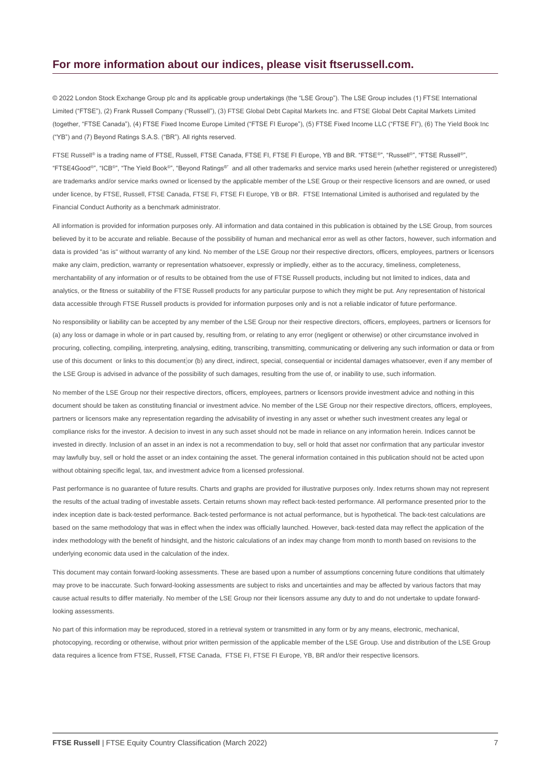#### **For more information about our indices, please visit ftserussell.com.**

© 2022 London Stock Exchange Group plc and its applicable group undertakings (the "LSE Group"). The LSE Group includes (1) FTSE International Limited ("FTSE"), (2) Frank Russell Company ("Russell"), (3) FTSE Global Debt Capital Markets Inc. and FTSE Global Debt Capital Markets Limited (together, "FTSE Canada"), (4) FTSE Fixed Income Europe Limited ("FTSE FI Europe"), (5) FTSE Fixed Income LLC ("FTSE FI"), (6) The Yield Book Inc ("YB") and (7) Beyond Ratings S.A.S. ("BR"). All rights reserved.

FTSE Russell® is a trading name of FTSE, Russell, FTSE Canada, FTSE FI, FTSE FI Europe, YB and BR. "FTSE®", "Russell®", "FTSE Russell®", "FTSE4Good®", "ICB®", "The Yield Book®", "Beyond Ratings®" and all other trademarks and service marks used herein (whether registered or unregistered) are trademarks and/or service marks owned or licensed by the applicable member of the LSE Group or their respective licensors and are owned, or used under licence, by FTSE, Russell, FTSE Canada, FTSE FI, FTSE FI Europe, YB or BR. FTSE International Limited is authorised and regulated by the Financial Conduct Authority as a benchmark administrator.

All information is provided for information purposes only. All information and data contained in this publication is obtained by the LSE Group, from sources believed by it to be accurate and reliable. Because of the possibility of human and mechanical error as well as other factors, however, such information and data is provided "as is" without warranty of any kind. No member of the LSE Group nor their respective directors, officers, employees, partners or licensors make any claim, prediction, warranty or representation whatsoever, expressly or impliedly, either as to the accuracy, timeliness, completeness, merchantability of any information or of results to be obtained from the use of FTSE Russell products, including but not limited to indices, data and analytics, or the fitness or suitability of the FTSE Russell products for any particular purpose to which they might be put. Any representation of historical data accessible through FTSE Russell products is provided for information purposes only and is not a reliable indicator of future performance.

No responsibility or liability can be accepted by any member of the LSE Group nor their respective directors, officers, employees, partners or licensors for (a) any loss or damage in whole or in part caused by, resulting from, or relating to any error (negligent or otherwise) or other circumstance involved in procuring, collecting, compiling, interpreting, analysing, editing, transcribing, transmitting, communicating or delivering any such information or data or from use of this document or links to this document or (b) any direct, indirect, special, consequential or incidental damages whatsoever, even if any member of the LSE Group is advised in advance of the possibility of such damages, resulting from the use of, or inability to use, such information.

No member of the LSE Group nor their respective directors, officers, employees, partners or licensors provide investment advice and nothing in this document should be taken as constituting financial or investment advice. No member of the LSE Group nor their respective directors, officers, employees, partners or licensors make any representation regarding the advisability of investing in any asset or whether such investment creates any legal or compliance risks for the investor. A decision to invest in any such asset should not be made in reliance on any information herein. Indices cannot be invested in directly. Inclusion of an asset in an index is not a recommendation to buy, sell or hold that asset nor confirmation that any particular investor may lawfully buy, sell or hold the asset or an index containing the asset. The general information contained in this publication should not be acted upon without obtaining specific legal, tax, and investment advice from a licensed professional.

Past performance is no quarantee of future results. Charts and graphs are provided for illustrative purposes only. Index returns shown may not represent the results of the actual trading of investable assets. Certain returns shown may reflect back-tested performance. All performance presented prior to the index inception date is back-tested performance. Back-tested performance is not actual performance, but is hypothetical. The back-test calculations are based on the same methodology that was in effect when the index was officially launched. However, back-tested data may reflect the application of the index methodology with the benefit of hindsight, and the historic calculations of an index may change from month to month based on revisions to the underlying economic data used in the calculation of the index.

This document may contain forward-looking assessments. These are based upon a number of assumptions concerning future conditions that ultimately may prove to be inaccurate. Such forward-looking assessments are subject to risks and uncertainties and may be affected by various factors that may cause actual results to differ materially. No member of the LSE Group nor their licensors assume any duty to and do not undertake to update forwardlooking assessments.

No part of this information may be reproduced, stored in a retrieval system or transmitted in any form or by any means, electronic, mechanical, photocopying, recording or otherwise, without prior written permission of the applicable member of the LSE Group. Use and distribution of the LSE Group data requires a licence from FTSE, Russell, FTSE Canada, FTSE FI, FTSE FI Europe, YB, BR and/or their respective licensors.